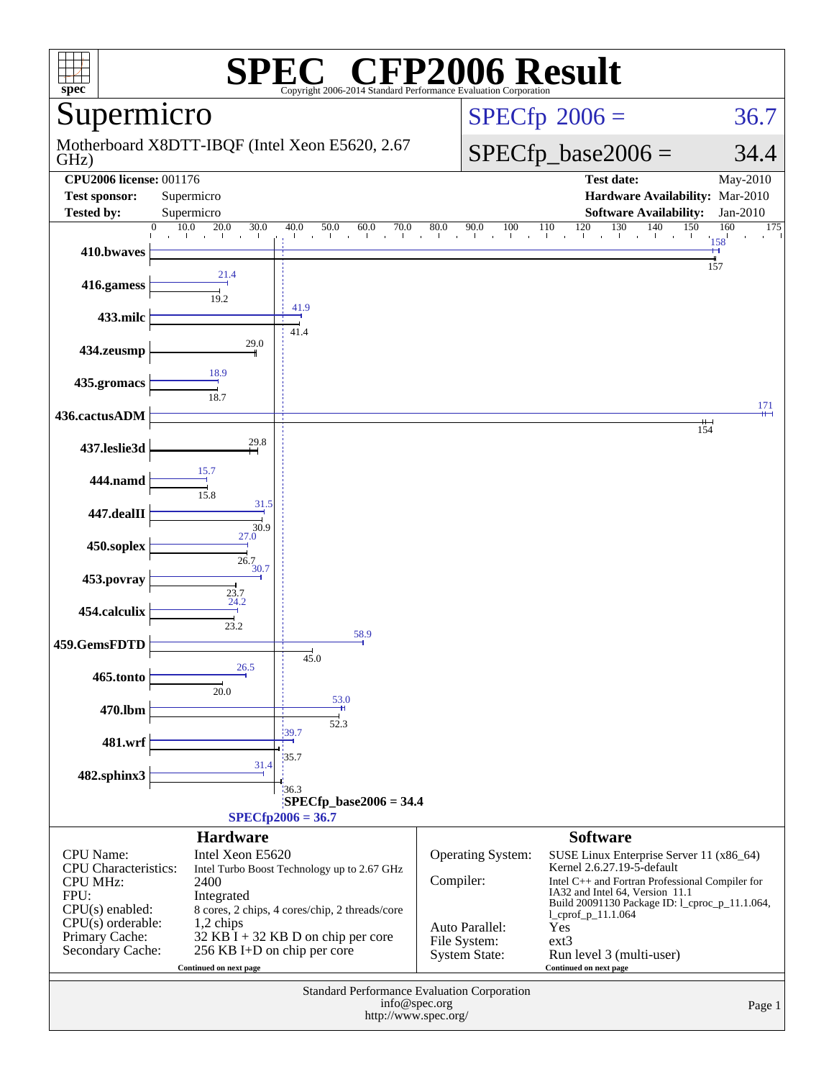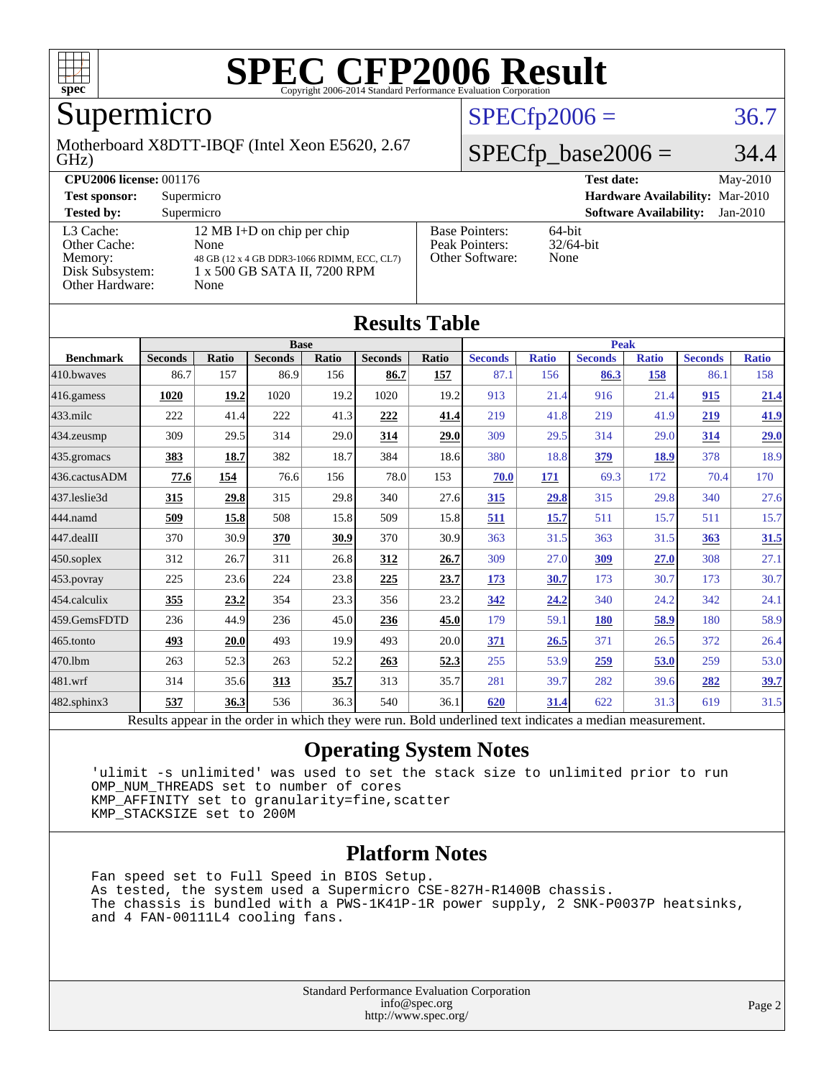

## Supermicro

#### GHz) Motherboard X8DTT-IBQF (Intel Xeon E5620, 2.67

### $SPECfp2006 = 36.7$  $SPECfp2006 = 36.7$

### $SPECfp\_base2006 = 34.4$

| <b>CPU2006 license: 001176</b>                                             |                                                                                                                           |                                                            | $Mav-2010$<br><b>Test date:</b>             |  |  |
|----------------------------------------------------------------------------|---------------------------------------------------------------------------------------------------------------------------|------------------------------------------------------------|---------------------------------------------|--|--|
| <b>Test sponsor:</b>                                                       | Supermicro                                                                                                                | <b>Hardware Availability: Mar-2010</b>                     |                                             |  |  |
| <b>Tested by:</b>                                                          | Supermicro                                                                                                                |                                                            | <b>Software Availability:</b><br>$Jan-2010$ |  |  |
| L3 Cache:<br>Other Cache:<br>Memory:<br>Disk Subsystem:<br>Other Hardware: | 12 MB I+D on chip per chip<br>None<br>48 GB (12 x 4 GB DDR3-1066 RDIMM, ECC, CL7)<br>1 x 500 GB SATA II, 7200 RPM<br>None | <b>Base Pointers:</b><br>Peak Pointers:<br>Other Software: | $64$ -bit<br>$32/64$ -bit<br>None           |  |  |

**[Results Table](http://www.spec.org/auto/cpu2006/Docs/result-fields.html#ResultsTable)**

| Results Table    |                                                                                                          |              |                |       |                |       |                |              |                |              |                |              |
|------------------|----------------------------------------------------------------------------------------------------------|--------------|----------------|-------|----------------|-------|----------------|--------------|----------------|--------------|----------------|--------------|
|                  | <b>Base</b>                                                                                              |              |                |       |                |       | <b>Peak</b>    |              |                |              |                |              |
| <b>Benchmark</b> | <b>Seconds</b>                                                                                           | <b>Ratio</b> | <b>Seconds</b> | Ratio | <b>Seconds</b> | Ratio | <b>Seconds</b> | <b>Ratio</b> | <b>Seconds</b> | <b>Ratio</b> | <b>Seconds</b> | <b>Ratio</b> |
| 410.bwaves       | 86.7                                                                                                     | 157          | 86.9           | 156   | 86.7           | 157   | 87.1           | 156          | 86.3           | 158          | 86.1           | 158          |
| 416.gamess       | 1020                                                                                                     | 19.2         | 1020           | 19.2  | 1020           | 19.2  | 913            | 21.4         | 916            | 21.4         | 915            | 21.4         |
| $433$ .milc      | 222                                                                                                      | 41.4         | 222            | 41.3  | 222            | 41.4  | 219            | 41.8         | 219            | 41.9         | 219            | 41.9         |
| $434$ . zeusmo   | 309                                                                                                      | 29.5         | 314            | 29.0  | 314            | 29.0  | 309            | 29.5         | 314            | 29.0         | 314            | 29.0         |
| 435.gromacs      | 383                                                                                                      | 18.7         | 382            | 18.7  | 384            | 18.6  | 380            | 18.8         | 379            | 18.9         | 378            | 18.9         |
| 436.cactusADM    | 77.6                                                                                                     | 154          | 76.6           | 156   | 78.0           | 153   | 70.0           | 171          | 69.3           | 172          | 70.4           | 170          |
| 437.leslie3d     | <u>315</u>                                                                                               | 29.8         | 315            | 29.8  | 340            | 27.6  | <u>315</u>     | 29.8         | 315            | 29.8         | 340            | 27.6         |
| 444.namd         | 509                                                                                                      | 15.8         | 508            | 15.8  | 509            | 15.8  | 511            | 15.7         | 511            | 15.7         | 511            | 15.7         |
| $447$ .dealII    | 370                                                                                                      | 30.9         | 370            | 30.9  | 370            | 30.9  | 363            | 31.5         | 363            | 31.5         | 363            | 31.5         |
| $450$ .soplex    | 312                                                                                                      | 26.7         | 311            | 26.8  | 312            | 26.7  | 309            | 27.0         | 309            | 27.0         | 308            | 27.1         |
| 453.povray       | 225                                                                                                      | 23.6         | 224            | 23.8  | 225            | 23.7  | <u>173</u>     | 30.7         | 173            | 30.7         | 173            | 30.7         |
| $ 454$ .calculix | 355                                                                                                      | 23.2         | 354            | 23.3  | 356            | 23.2  | 342            | 24.2         | 340            | 24.2         | 342            | 24.1         |
| 459.GemsFDTD     | 236                                                                                                      | 44.9         | 236            | 45.0  | 236            | 45.0  | 179            | 59.1         | 180            | 58.9         | 180            | 58.9         |
| $465$ .tonto     | 493                                                                                                      | 20.0         | 493            | 19.9  | 493            | 20.0  | 371            | 26.5         | 371            | 26.5         | 372            | 26.4         |
| 470.1bm          | 263                                                                                                      | 52.3         | 263            | 52.2  | 263            | 52.3  | 255            | 53.9         | 259            | 53.0         | 259            | 53.0         |
| 481.wrf          | 314                                                                                                      | 35.6         | 313            | 35.7  | 313            | 35.7  | 281            | 39.7         | 282            | 39.6         | 282            | <u>39.7</u>  |
| 482.sphinx3      | 537                                                                                                      | 36.3         | 536            | 36.3  | 540            | 36.1  | 620            | 31.4         | 622            | 31.3         | 619            | 31.5         |
|                  | Results appear in the order in which they were run. Bold underlined text indicates a median measurement. |              |                |       |                |       |                |              |                |              |                |              |

### **[Operating System Notes](http://www.spec.org/auto/cpu2006/Docs/result-fields.html#OperatingSystemNotes)**

 'ulimit -s unlimited' was used to set the stack size to unlimited prior to run OMP\_NUM\_THREADS set to number of cores KMP\_AFFINITY set to granularity=fine,scatter KMP\_STACKSIZE set to 200M

#### **[Platform Notes](http://www.spec.org/auto/cpu2006/Docs/result-fields.html#PlatformNotes)**

 Fan speed set to Full Speed in BIOS Setup. As tested, the system used a Supermicro CSE-827H-R1400B chassis. The chassis is bundled with a PWS-1K41P-1R power supply, 2 SNK-P0037P heatsinks, and 4 FAN-00111L4 cooling fans.

> Standard Performance Evaluation Corporation [info@spec.org](mailto:info@spec.org) <http://www.spec.org/>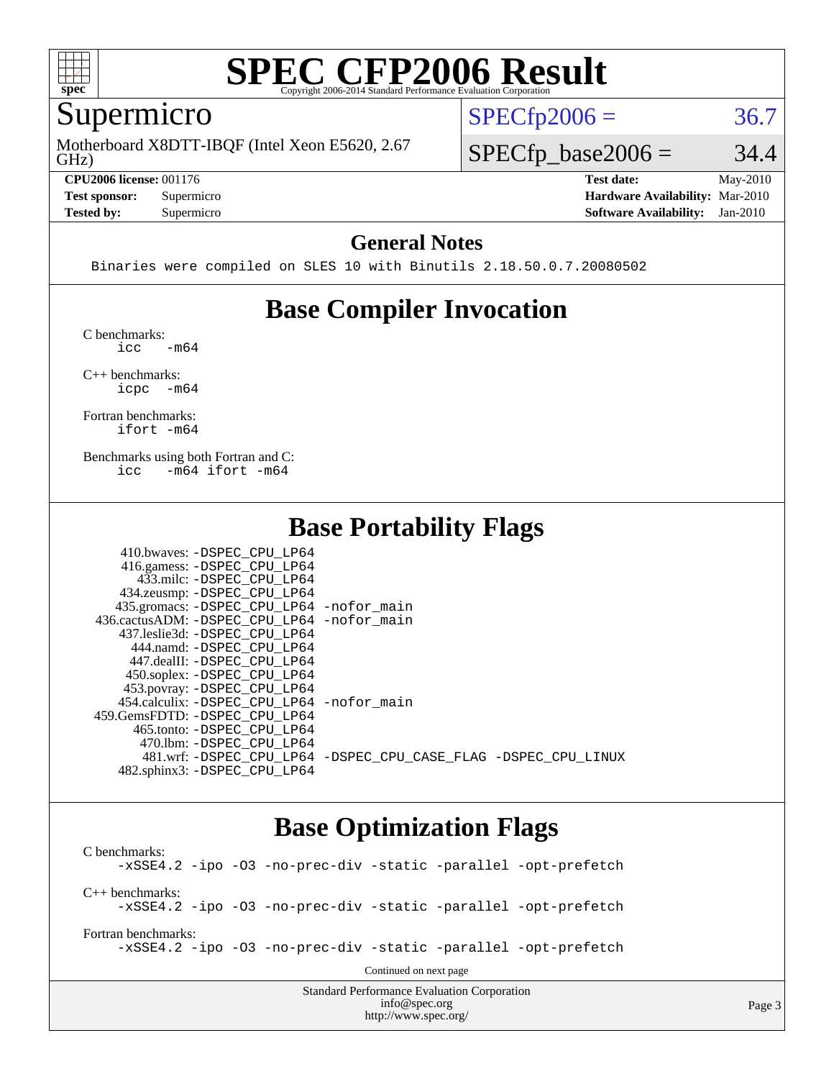

### Supermicro

GHz) Motherboard X8DTT-IBQF (Intel Xeon E5620, 2.67

**[CPU2006 license:](http://www.spec.org/auto/cpu2006/Docs/result-fields.html#CPU2006license)** 001176 **[Test date:](http://www.spec.org/auto/cpu2006/Docs/result-fields.html#Testdate)** May-2010

 $SPECTp2006 = 36.7$ 

 $SPECTp\_base2006 = 34.4$ 

**[Test sponsor:](http://www.spec.org/auto/cpu2006/Docs/result-fields.html#Testsponsor)** Supermicro **[Hardware Availability:](http://www.spec.org/auto/cpu2006/Docs/result-fields.html#HardwareAvailability)** Mar-2010 **[Tested by:](http://www.spec.org/auto/cpu2006/Docs/result-fields.html#Testedby)** Supermicro **[Software Availability:](http://www.spec.org/auto/cpu2006/Docs/result-fields.html#SoftwareAvailability)** Jan-2010

### **[General Notes](http://www.spec.org/auto/cpu2006/Docs/result-fields.html#GeneralNotes)**

Binaries were compiled on SLES 10 with Binutils 2.18.50.0.7.20080502

### **[Base Compiler Invocation](http://www.spec.org/auto/cpu2006/Docs/result-fields.html#BaseCompilerInvocation)**

[C benchmarks](http://www.spec.org/auto/cpu2006/Docs/result-fields.html#Cbenchmarks):  $\text{icc}$   $-\text{m64}$ 

[C++ benchmarks:](http://www.spec.org/auto/cpu2006/Docs/result-fields.html#CXXbenchmarks) [icpc -m64](http://www.spec.org/cpu2006/results/res2010q3/cpu2006-20100528-11390.flags.html#user_CXXbase_intel_icpc_64bit_bedb90c1146cab66620883ef4f41a67e)

[Fortran benchmarks](http://www.spec.org/auto/cpu2006/Docs/result-fields.html#Fortranbenchmarks): [ifort -m64](http://www.spec.org/cpu2006/results/res2010q3/cpu2006-20100528-11390.flags.html#user_FCbase_intel_ifort_64bit_ee9d0fb25645d0210d97eb0527dcc06e)

[Benchmarks using both Fortran and C](http://www.spec.org/auto/cpu2006/Docs/result-fields.html#BenchmarksusingbothFortranandC): [icc -m64](http://www.spec.org/cpu2006/results/res2010q3/cpu2006-20100528-11390.flags.html#user_CC_FCbase_intel_icc_64bit_0b7121f5ab7cfabee23d88897260401c) [ifort -m64](http://www.spec.org/cpu2006/results/res2010q3/cpu2006-20100528-11390.flags.html#user_CC_FCbase_intel_ifort_64bit_ee9d0fb25645d0210d97eb0527dcc06e)

### **[Base Portability Flags](http://www.spec.org/auto/cpu2006/Docs/result-fields.html#BasePortabilityFlags)**

| 410.bwaves: -DSPEC CPU LP64                |                                                                |
|--------------------------------------------|----------------------------------------------------------------|
| 416.gamess: -DSPEC_CPU_LP64                |                                                                |
| 433.milc: -DSPEC CPU LP64                  |                                                                |
| 434.zeusmp: -DSPEC_CPU_LP64                |                                                                |
| 435.gromacs: -DSPEC_CPU_LP64 -nofor_main   |                                                                |
| 436.cactusADM: -DSPEC CPU LP64 -nofor main |                                                                |
| 437.leslie3d: -DSPEC CPU LP64              |                                                                |
| 444.namd: -DSPEC CPU LP64                  |                                                                |
| 447.dealII: -DSPEC CPU LP64                |                                                                |
| 450.soplex: -DSPEC_CPU_LP64                |                                                                |
| 453.povray: -DSPEC_CPU_LP64                |                                                                |
| 454.calculix: -DSPEC CPU LP64 -nofor main  |                                                                |
| 459. GemsFDTD: - DSPEC CPU LP64            |                                                                |
| 465.tonto: - DSPEC CPU LP64                |                                                                |
| 470.1bm: - DSPEC CPU LP64                  |                                                                |
|                                            | 481.wrf: -DSPEC CPU_LP64 -DSPEC_CPU_CASE_FLAG -DSPEC_CPU_LINUX |
| 482.sphinx3: -DSPEC_CPU LP64               |                                                                |

### **[Base Optimization Flags](http://www.spec.org/auto/cpu2006/Docs/result-fields.html#BaseOptimizationFlags)**

Standard Performance Evaluation Corporation [C benchmarks](http://www.spec.org/auto/cpu2006/Docs/result-fields.html#Cbenchmarks): [-xSSE4.2](http://www.spec.org/cpu2006/results/res2010q3/cpu2006-20100528-11390.flags.html#user_CCbase_f-xSSE42_f91528193cf0b216347adb8b939d4107) [-ipo](http://www.spec.org/cpu2006/results/res2010q3/cpu2006-20100528-11390.flags.html#user_CCbase_f-ipo) [-O3](http://www.spec.org/cpu2006/results/res2010q3/cpu2006-20100528-11390.flags.html#user_CCbase_f-O3) [-no-prec-div](http://www.spec.org/cpu2006/results/res2010q3/cpu2006-20100528-11390.flags.html#user_CCbase_f-no-prec-div) [-static](http://www.spec.org/cpu2006/results/res2010q3/cpu2006-20100528-11390.flags.html#user_CCbase_f-static) [-parallel](http://www.spec.org/cpu2006/results/res2010q3/cpu2006-20100528-11390.flags.html#user_CCbase_f-parallel) [-opt-prefetch](http://www.spec.org/cpu2006/results/res2010q3/cpu2006-20100528-11390.flags.html#user_CCbase_f-opt-prefetch) [C++ benchmarks:](http://www.spec.org/auto/cpu2006/Docs/result-fields.html#CXXbenchmarks) [-xSSE4.2](http://www.spec.org/cpu2006/results/res2010q3/cpu2006-20100528-11390.flags.html#user_CXXbase_f-xSSE42_f91528193cf0b216347adb8b939d4107) [-ipo](http://www.spec.org/cpu2006/results/res2010q3/cpu2006-20100528-11390.flags.html#user_CXXbase_f-ipo) [-O3](http://www.spec.org/cpu2006/results/res2010q3/cpu2006-20100528-11390.flags.html#user_CXXbase_f-O3) [-no-prec-div](http://www.spec.org/cpu2006/results/res2010q3/cpu2006-20100528-11390.flags.html#user_CXXbase_f-no-prec-div) [-static](http://www.spec.org/cpu2006/results/res2010q3/cpu2006-20100528-11390.flags.html#user_CXXbase_f-static) [-parallel](http://www.spec.org/cpu2006/results/res2010q3/cpu2006-20100528-11390.flags.html#user_CXXbase_f-parallel) [-opt-prefetch](http://www.spec.org/cpu2006/results/res2010q3/cpu2006-20100528-11390.flags.html#user_CXXbase_f-opt-prefetch) [Fortran benchmarks](http://www.spec.org/auto/cpu2006/Docs/result-fields.html#Fortranbenchmarks): [-xSSE4.2](http://www.spec.org/cpu2006/results/res2010q3/cpu2006-20100528-11390.flags.html#user_FCbase_f-xSSE42_f91528193cf0b216347adb8b939d4107) [-ipo](http://www.spec.org/cpu2006/results/res2010q3/cpu2006-20100528-11390.flags.html#user_FCbase_f-ipo) [-O3](http://www.spec.org/cpu2006/results/res2010q3/cpu2006-20100528-11390.flags.html#user_FCbase_f-O3) [-no-prec-div](http://www.spec.org/cpu2006/results/res2010q3/cpu2006-20100528-11390.flags.html#user_FCbase_f-no-prec-div) [-static](http://www.spec.org/cpu2006/results/res2010q3/cpu2006-20100528-11390.flags.html#user_FCbase_f-static) [-parallel](http://www.spec.org/cpu2006/results/res2010q3/cpu2006-20100528-11390.flags.html#user_FCbase_f-parallel) [-opt-prefetch](http://www.spec.org/cpu2006/results/res2010q3/cpu2006-20100528-11390.flags.html#user_FCbase_f-opt-prefetch) Continued on next page

[info@spec.org](mailto:info@spec.org) <http://www.spec.org/>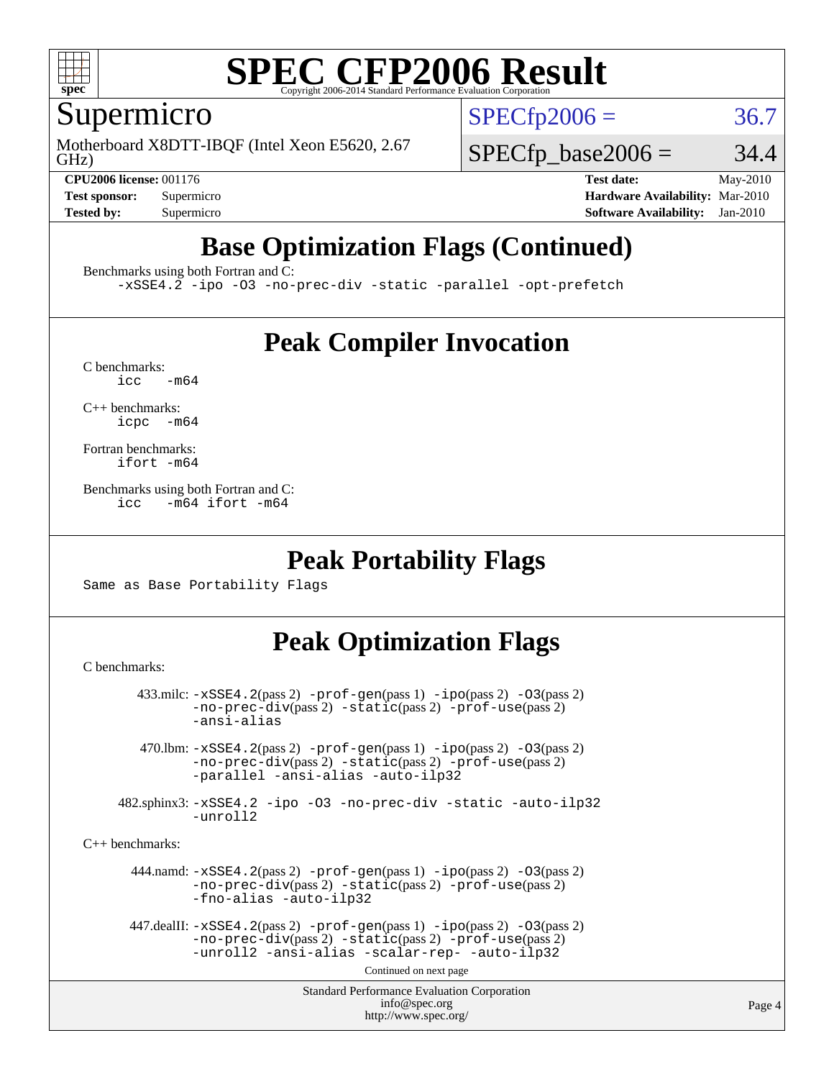

### Supermicro

GHz) Motherboard X8DTT-IBQF (Intel Xeon E5620, 2.67  $SPECTp2006 = 36.7$ 

 $SPECTp\_base2006 = 34.4$ **[CPU2006 license:](http://www.spec.org/auto/cpu2006/Docs/result-fields.html#CPU2006license)** 001176 **[Test date:](http://www.spec.org/auto/cpu2006/Docs/result-fields.html#Testdate)** May-2010

**[Test sponsor:](http://www.spec.org/auto/cpu2006/Docs/result-fields.html#Testsponsor)** Supermicro **[Hardware Availability:](http://www.spec.org/auto/cpu2006/Docs/result-fields.html#HardwareAvailability)** Mar-2010 **[Tested by:](http://www.spec.org/auto/cpu2006/Docs/result-fields.html#Testedby)** Supermicro **[Software Availability:](http://www.spec.org/auto/cpu2006/Docs/result-fields.html#SoftwareAvailability)** Jan-2010

### **[Base Optimization Flags \(Continued\)](http://www.spec.org/auto/cpu2006/Docs/result-fields.html#BaseOptimizationFlags)**

[Benchmarks using both Fortran and C](http://www.spec.org/auto/cpu2006/Docs/result-fields.html#BenchmarksusingbothFortranandC):

[-xSSE4.2](http://www.spec.org/cpu2006/results/res2010q3/cpu2006-20100528-11390.flags.html#user_CC_FCbase_f-xSSE42_f91528193cf0b216347adb8b939d4107) [-ipo](http://www.spec.org/cpu2006/results/res2010q3/cpu2006-20100528-11390.flags.html#user_CC_FCbase_f-ipo) [-O3](http://www.spec.org/cpu2006/results/res2010q3/cpu2006-20100528-11390.flags.html#user_CC_FCbase_f-O3) [-no-prec-div](http://www.spec.org/cpu2006/results/res2010q3/cpu2006-20100528-11390.flags.html#user_CC_FCbase_f-no-prec-div) [-static](http://www.spec.org/cpu2006/results/res2010q3/cpu2006-20100528-11390.flags.html#user_CC_FCbase_f-static) [-parallel](http://www.spec.org/cpu2006/results/res2010q3/cpu2006-20100528-11390.flags.html#user_CC_FCbase_f-parallel) [-opt-prefetch](http://www.spec.org/cpu2006/results/res2010q3/cpu2006-20100528-11390.flags.html#user_CC_FCbase_f-opt-prefetch)

### **[Peak Compiler Invocation](http://www.spec.org/auto/cpu2006/Docs/result-fields.html#PeakCompilerInvocation)**

 $C$  benchmarks:<br>icc  $-m64$ 

[C++ benchmarks:](http://www.spec.org/auto/cpu2006/Docs/result-fields.html#CXXbenchmarks) [icpc -m64](http://www.spec.org/cpu2006/results/res2010q3/cpu2006-20100528-11390.flags.html#user_CXXpeak_intel_icpc_64bit_bedb90c1146cab66620883ef4f41a67e)

[Fortran benchmarks](http://www.spec.org/auto/cpu2006/Docs/result-fields.html#Fortranbenchmarks): [ifort -m64](http://www.spec.org/cpu2006/results/res2010q3/cpu2006-20100528-11390.flags.html#user_FCpeak_intel_ifort_64bit_ee9d0fb25645d0210d97eb0527dcc06e)

[Benchmarks using both Fortran and C](http://www.spec.org/auto/cpu2006/Docs/result-fields.html#BenchmarksusingbothFortranandC): [icc -m64](http://www.spec.org/cpu2006/results/res2010q3/cpu2006-20100528-11390.flags.html#user_CC_FCpeak_intel_icc_64bit_0b7121f5ab7cfabee23d88897260401c) [ifort -m64](http://www.spec.org/cpu2006/results/res2010q3/cpu2006-20100528-11390.flags.html#user_CC_FCpeak_intel_ifort_64bit_ee9d0fb25645d0210d97eb0527dcc06e)

### **[Peak Portability Flags](http://www.spec.org/auto/cpu2006/Docs/result-fields.html#PeakPortabilityFlags)**

Same as Base Portability Flags

### **[Peak Optimization Flags](http://www.spec.org/auto/cpu2006/Docs/result-fields.html#PeakOptimizationFlags)**

[C benchmarks](http://www.spec.org/auto/cpu2006/Docs/result-fields.html#Cbenchmarks):

```
Standard Performance Evaluation Corporation
                                           info@spec.org
                                         http://www.spec.org/
        433.milc: -xSSE4.2(pass 2) -prof-gen(pass 1) -ipo(pass 2) -O3(pass 2)
                -no-prec-div(pass 2) -static(pass 2) -prof-use(pass 2)
                -ansi-alias
         470.lbm: -xSSE4.2(pass 2) -prof-gen(pass 1) -ipo(pass 2) -O3(pass 2)
                -no-prec-div(pass 2) -static(pass 2) -prof-use(pass 2)
                -parallel -ansi-alias -auto-ilp32
      482.sphinx3: -xSSE4.2 -ipo -O3 -no-prec-div -static -auto-ilp32
                -unroll2
C++ benchmarks: 
        444.namd: -xSSE4.2(pass 2) -prof-gen(pass 1) -ipo(pass 2) -O3(pass 2)
                -no-prec-div(pass 2) -static(pass 2) -prof-use(pass 2)
                -fno-alias -auto-ilp32
      447.dealII: -xSSE4. 2(pass 2)-prof-gen-ipo(pass 2) -03(pass 2)
                -no-prec-div(pass 2) -static(pass 2) -prof-use(pass 2)
                -unroll2 -ansi-alias -scalar-rep- -auto-ilp32
                                         Continued on next page
```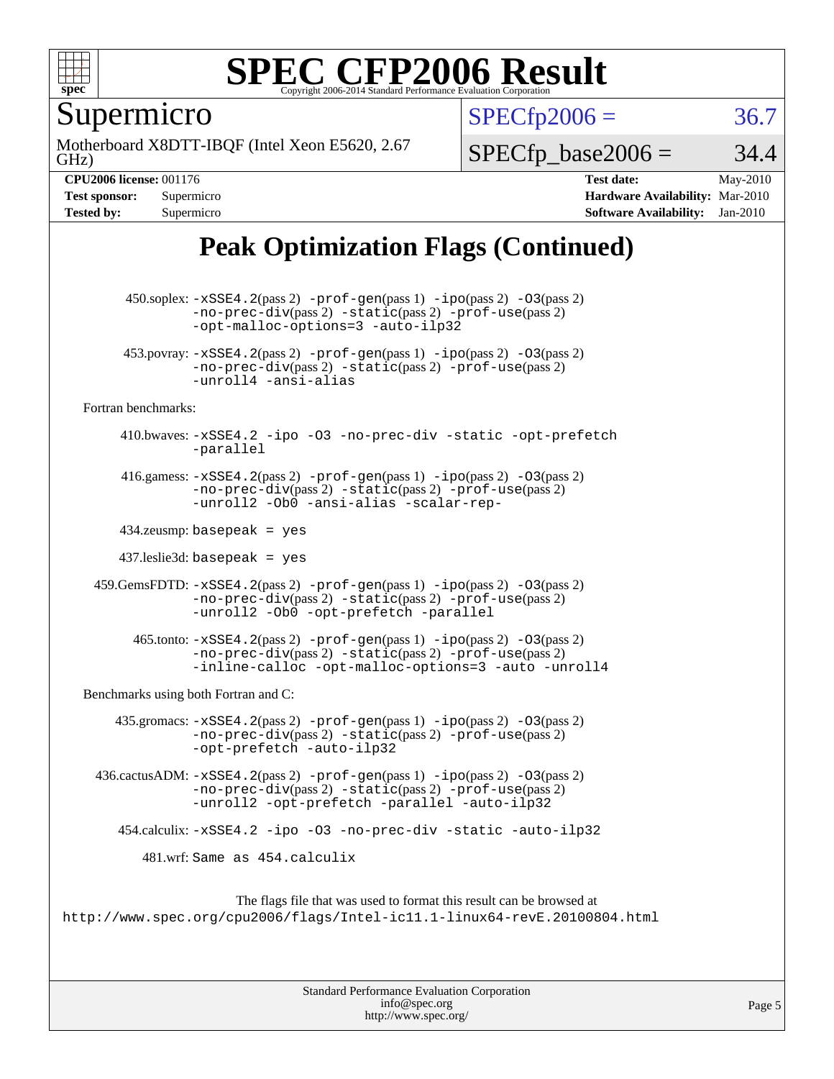

Supermicro

GHz) Motherboard X8DTT-IBQF (Intel Xeon E5620, 2.67  $SPECTp2006 = 36.7$ 

 $SPECTp\_base2006 = 34.4$ 

**[CPU2006 license:](http://www.spec.org/auto/cpu2006/Docs/result-fields.html#CPU2006license)** 001176 **[Test date:](http://www.spec.org/auto/cpu2006/Docs/result-fields.html#Testdate)** May-2010 **[Test sponsor:](http://www.spec.org/auto/cpu2006/Docs/result-fields.html#Testsponsor)** Supermicro **[Hardware Availability:](http://www.spec.org/auto/cpu2006/Docs/result-fields.html#HardwareAvailability)** Mar-2010 **[Tested by:](http://www.spec.org/auto/cpu2006/Docs/result-fields.html#Testedby)** Supermicro **[Software Availability:](http://www.spec.org/auto/cpu2006/Docs/result-fields.html#SoftwareAvailability)** Jan-2010

### **[Peak Optimization Flags \(Continued\)](http://www.spec.org/auto/cpu2006/Docs/result-fields.html#PeakOptimizationFlags)**

 450.soplex: [-xSSE4.2](http://www.spec.org/cpu2006/results/res2010q3/cpu2006-20100528-11390.flags.html#user_peakPASS2_CXXFLAGSPASS2_LDFLAGS450_soplex_f-xSSE42_f91528193cf0b216347adb8b939d4107)(pass 2) [-prof-gen](http://www.spec.org/cpu2006/results/res2010q3/cpu2006-20100528-11390.flags.html#user_peakPASS1_CXXFLAGSPASS1_LDFLAGS450_soplex_prof_gen_e43856698f6ca7b7e442dfd80e94a8fc)(pass 1) [-ipo](http://www.spec.org/cpu2006/results/res2010q3/cpu2006-20100528-11390.flags.html#user_peakPASS2_CXXFLAGSPASS2_LDFLAGS450_soplex_f-ipo)(pass 2) [-O3](http://www.spec.org/cpu2006/results/res2010q3/cpu2006-20100528-11390.flags.html#user_peakPASS2_CXXFLAGSPASS2_LDFLAGS450_soplex_f-O3)(pass 2) [-no-prec-div](http://www.spec.org/cpu2006/results/res2010q3/cpu2006-20100528-11390.flags.html#user_peakPASS2_CXXFLAGSPASS2_LDFLAGS450_soplex_f-no-prec-div)(pass 2) [-static](http://www.spec.org/cpu2006/results/res2010q3/cpu2006-20100528-11390.flags.html#user_peakPASS2_CXXFLAGSPASS2_LDFLAGS450_soplex_f-static)(pass 2) [-prof-use](http://www.spec.org/cpu2006/results/res2010q3/cpu2006-20100528-11390.flags.html#user_peakPASS2_CXXFLAGSPASS2_LDFLAGS450_soplex_prof_use_bccf7792157ff70d64e32fe3e1250b55)(pass 2) [-opt-malloc-options=3](http://www.spec.org/cpu2006/results/res2010q3/cpu2006-20100528-11390.flags.html#user_peakOPTIMIZE450_soplex_f-opt-malloc-options_13ab9b803cf986b4ee62f0a5998c2238) [-auto-ilp32](http://www.spec.org/cpu2006/results/res2010q3/cpu2006-20100528-11390.flags.html#user_peakCXXOPTIMIZE450_soplex_f-auto-ilp32) 453.povray:  $-xSSE4$ . 2(pass 2)  $-prof-gen(pass 1) -ipo(pass 2) -O3(pass 2)$  $-prof-gen(pass 1) -ipo(pass 2) -O3(pass 2)$  $-prof-gen(pass 1) -ipo(pass 2) -O3(pass 2)$  $-prof-gen(pass 1) -ipo(pass 2) -O3(pass 2)$  $-prof-gen(pass 1) -ipo(pass 2) -O3(pass 2)$  $-prof-gen(pass 1) -ipo(pass 2) -O3(pass 2)$ [-no-prec-div](http://www.spec.org/cpu2006/results/res2010q3/cpu2006-20100528-11390.flags.html#user_peakPASS2_CXXFLAGSPASS2_LDFLAGS453_povray_f-no-prec-div)(pass 2) [-static](http://www.spec.org/cpu2006/results/res2010q3/cpu2006-20100528-11390.flags.html#user_peakPASS2_CXXFLAGSPASS2_LDFLAGS453_povray_f-static)(pass 2) [-prof-use](http://www.spec.org/cpu2006/results/res2010q3/cpu2006-20100528-11390.flags.html#user_peakPASS2_CXXFLAGSPASS2_LDFLAGS453_povray_prof_use_bccf7792157ff70d64e32fe3e1250b55)(pass 2) [-unroll4](http://www.spec.org/cpu2006/results/res2010q3/cpu2006-20100528-11390.flags.html#user_peakCXXOPTIMIZE453_povray_f-unroll_4e5e4ed65b7fd20bdcd365bec371b81f) [-ansi-alias](http://www.spec.org/cpu2006/results/res2010q3/cpu2006-20100528-11390.flags.html#user_peakCXXOPTIMIZE453_povray_f-ansi-alias) [Fortran benchmarks](http://www.spec.org/auto/cpu2006/Docs/result-fields.html#Fortranbenchmarks): 410.bwaves: [-xSSE4.2](http://www.spec.org/cpu2006/results/res2010q3/cpu2006-20100528-11390.flags.html#user_peakOPTIMIZE410_bwaves_f-xSSE42_f91528193cf0b216347adb8b939d4107) [-ipo](http://www.spec.org/cpu2006/results/res2010q3/cpu2006-20100528-11390.flags.html#user_peakOPTIMIZE410_bwaves_f-ipo) [-O3](http://www.spec.org/cpu2006/results/res2010q3/cpu2006-20100528-11390.flags.html#user_peakOPTIMIZE410_bwaves_f-O3) [-no-prec-div](http://www.spec.org/cpu2006/results/res2010q3/cpu2006-20100528-11390.flags.html#user_peakOPTIMIZE410_bwaves_f-no-prec-div) [-static](http://www.spec.org/cpu2006/results/res2010q3/cpu2006-20100528-11390.flags.html#user_peakOPTIMIZE410_bwaves_f-static) [-opt-prefetch](http://www.spec.org/cpu2006/results/res2010q3/cpu2006-20100528-11390.flags.html#user_peakOPTIMIZE410_bwaves_f-opt-prefetch) [-parallel](http://www.spec.org/cpu2006/results/res2010q3/cpu2006-20100528-11390.flags.html#user_peakOPTIMIZE410_bwaves_f-parallel) 416.gamess:  $-xSSE4$ . 2(pass 2)  $-prof-gen(pass 1) -ipo(pass 2) -O3(pass 2)$  $-prof-gen(pass 1) -ipo(pass 2) -O3(pass 2)$  $-prof-gen(pass 1) -ipo(pass 2) -O3(pass 2)$  $-prof-gen(pass 1) -ipo(pass 2) -O3(pass 2)$  $-prof-gen(pass 1) -ipo(pass 2) -O3(pass 2)$  $-prof-gen(pass 1) -ipo(pass 2) -O3(pass 2)$ [-no-prec-div](http://www.spec.org/cpu2006/results/res2010q3/cpu2006-20100528-11390.flags.html#user_peakPASS2_FFLAGSPASS2_LDFLAGS416_gamess_f-no-prec-div)(pass 2) [-static](http://www.spec.org/cpu2006/results/res2010q3/cpu2006-20100528-11390.flags.html#user_peakPASS2_FFLAGSPASS2_LDFLAGS416_gamess_f-static)(pass 2) [-prof-use](http://www.spec.org/cpu2006/results/res2010q3/cpu2006-20100528-11390.flags.html#user_peakPASS2_FFLAGSPASS2_LDFLAGS416_gamess_prof_use_bccf7792157ff70d64e32fe3e1250b55)(pass 2) [-unroll2](http://www.spec.org/cpu2006/results/res2010q3/cpu2006-20100528-11390.flags.html#user_peakOPTIMIZE416_gamess_f-unroll_784dae83bebfb236979b41d2422d7ec2) [-Ob0](http://www.spec.org/cpu2006/results/res2010q3/cpu2006-20100528-11390.flags.html#user_peakOPTIMIZE416_gamess_f-Ob_n_fbe6f6428adb7d4b74b1e99bb2444c2d) [-ansi-alias](http://www.spec.org/cpu2006/results/res2010q3/cpu2006-20100528-11390.flags.html#user_peakOPTIMIZE416_gamess_f-ansi-alias) [-scalar-rep-](http://www.spec.org/cpu2006/results/res2010q3/cpu2006-20100528-11390.flags.html#user_peakOPTIMIZE416_gamess_f-disablescalarrep_abbcad04450fb118e4809c81d83c8a1d) 434.zeusmp: basepeak = yes 437.leslie3d: basepeak = yes 459.GemsFDTD: [-xSSE4.2](http://www.spec.org/cpu2006/results/res2010q3/cpu2006-20100528-11390.flags.html#user_peakPASS2_FFLAGSPASS2_LDFLAGS459_GemsFDTD_f-xSSE42_f91528193cf0b216347adb8b939d4107)(pass 2) [-prof-gen](http://www.spec.org/cpu2006/results/res2010q3/cpu2006-20100528-11390.flags.html#user_peakPASS1_FFLAGSPASS1_LDFLAGS459_GemsFDTD_prof_gen_e43856698f6ca7b7e442dfd80e94a8fc)(pass 1) [-ipo](http://www.spec.org/cpu2006/results/res2010q3/cpu2006-20100528-11390.flags.html#user_peakPASS2_FFLAGSPASS2_LDFLAGS459_GemsFDTD_f-ipo)(pass 2) [-O3](http://www.spec.org/cpu2006/results/res2010q3/cpu2006-20100528-11390.flags.html#user_peakPASS2_FFLAGSPASS2_LDFLAGS459_GemsFDTD_f-O3)(pass 2) [-no-prec-div](http://www.spec.org/cpu2006/results/res2010q3/cpu2006-20100528-11390.flags.html#user_peakPASS2_FFLAGSPASS2_LDFLAGS459_GemsFDTD_f-no-prec-div)(pass 2) [-static](http://www.spec.org/cpu2006/results/res2010q3/cpu2006-20100528-11390.flags.html#user_peakPASS2_FFLAGSPASS2_LDFLAGS459_GemsFDTD_f-static)(pass 2) [-prof-use](http://www.spec.org/cpu2006/results/res2010q3/cpu2006-20100528-11390.flags.html#user_peakPASS2_FFLAGSPASS2_LDFLAGS459_GemsFDTD_prof_use_bccf7792157ff70d64e32fe3e1250b55)(pass 2) [-unroll2](http://www.spec.org/cpu2006/results/res2010q3/cpu2006-20100528-11390.flags.html#user_peakOPTIMIZE459_GemsFDTD_f-unroll_784dae83bebfb236979b41d2422d7ec2) [-Ob0](http://www.spec.org/cpu2006/results/res2010q3/cpu2006-20100528-11390.flags.html#user_peakOPTIMIZE459_GemsFDTD_f-Ob_n_fbe6f6428adb7d4b74b1e99bb2444c2d) [-opt-prefetch](http://www.spec.org/cpu2006/results/res2010q3/cpu2006-20100528-11390.flags.html#user_peakOPTIMIZE459_GemsFDTD_f-opt-prefetch) [-parallel](http://www.spec.org/cpu2006/results/res2010q3/cpu2006-20100528-11390.flags.html#user_peakOPTIMIZE459_GemsFDTD_f-parallel)  $465$ .tonto:  $-xSSE4$ .  $2(pass 2)$  [-prof-gen](http://www.spec.org/cpu2006/results/res2010q3/cpu2006-20100528-11390.flags.html#user_peakPASS1_FFLAGSPASS1_LDFLAGS465_tonto_prof_gen_e43856698f6ca7b7e442dfd80e94a8fc)(pass 1) [-ipo](http://www.spec.org/cpu2006/results/res2010q3/cpu2006-20100528-11390.flags.html#user_peakPASS2_FFLAGSPASS2_LDFLAGS465_tonto_f-ipo)(pass 2) -03(pass 2) [-no-prec-div](http://www.spec.org/cpu2006/results/res2010q3/cpu2006-20100528-11390.flags.html#user_peakPASS2_FFLAGSPASS2_LDFLAGS465_tonto_f-no-prec-div)(pass 2) [-static](http://www.spec.org/cpu2006/results/res2010q3/cpu2006-20100528-11390.flags.html#user_peakPASS2_FFLAGSPASS2_LDFLAGS465_tonto_f-static)(pass 2) [-prof-use](http://www.spec.org/cpu2006/results/res2010q3/cpu2006-20100528-11390.flags.html#user_peakPASS2_FFLAGSPASS2_LDFLAGS465_tonto_prof_use_bccf7792157ff70d64e32fe3e1250b55)(pass 2) [-inline-calloc](http://www.spec.org/cpu2006/results/res2010q3/cpu2006-20100528-11390.flags.html#user_peakOPTIMIZE465_tonto_f-inline-calloc) [-opt-malloc-options=3](http://www.spec.org/cpu2006/results/res2010q3/cpu2006-20100528-11390.flags.html#user_peakOPTIMIZE465_tonto_f-opt-malloc-options_13ab9b803cf986b4ee62f0a5998c2238) [-auto](http://www.spec.org/cpu2006/results/res2010q3/cpu2006-20100528-11390.flags.html#user_peakOPTIMIZE465_tonto_f-auto) [-unroll4](http://www.spec.org/cpu2006/results/res2010q3/cpu2006-20100528-11390.flags.html#user_peakOPTIMIZE465_tonto_f-unroll_4e5e4ed65b7fd20bdcd365bec371b81f) [Benchmarks using both Fortran and C](http://www.spec.org/auto/cpu2006/Docs/result-fields.html#BenchmarksusingbothFortranandC): 435.gromacs:  $-xSSE4$ . 2(pass 2)  $-prof-gen(pass 1) -ipo(pass 2) -O3(pass 2)$  $-prof-gen(pass 1) -ipo(pass 2) -O3(pass 2)$  $-prof-gen(pass 1) -ipo(pass 2) -O3(pass 2)$  $-prof-gen(pass 1) -ipo(pass 2) -O3(pass 2)$  $-prof-gen(pass 1) -ipo(pass 2) -O3(pass 2)$  $-prof-gen(pass 1) -ipo(pass 2) -O3(pass 2)$ [-no-prec-div](http://www.spec.org/cpu2006/results/res2010q3/cpu2006-20100528-11390.flags.html#user_peakPASS2_CFLAGSPASS2_FFLAGSPASS2_LDFLAGS435_gromacs_f-no-prec-div)(pass 2) [-static](http://www.spec.org/cpu2006/results/res2010q3/cpu2006-20100528-11390.flags.html#user_peakPASS2_CFLAGSPASS2_FFLAGSPASS2_LDFLAGS435_gromacs_f-static)(pass 2) [-prof-use](http://www.spec.org/cpu2006/results/res2010q3/cpu2006-20100528-11390.flags.html#user_peakPASS2_CFLAGSPASS2_FFLAGSPASS2_LDFLAGS435_gromacs_prof_use_bccf7792157ff70d64e32fe3e1250b55)(pass 2) [-opt-prefetch](http://www.spec.org/cpu2006/results/res2010q3/cpu2006-20100528-11390.flags.html#user_peakOPTIMIZE435_gromacs_f-opt-prefetch) [-auto-ilp32](http://www.spec.org/cpu2006/results/res2010q3/cpu2006-20100528-11390.flags.html#user_peakCOPTIMIZE435_gromacs_f-auto-ilp32) 436.cactusADM: [-xSSE4.2](http://www.spec.org/cpu2006/results/res2010q3/cpu2006-20100528-11390.flags.html#user_peakPASS2_CFLAGSPASS2_FFLAGSPASS2_LDFLAGS436_cactusADM_f-xSSE42_f91528193cf0b216347adb8b939d4107)(pass 2) [-prof-gen](http://www.spec.org/cpu2006/results/res2010q3/cpu2006-20100528-11390.flags.html#user_peakPASS1_CFLAGSPASS1_FFLAGSPASS1_LDFLAGS436_cactusADM_prof_gen_e43856698f6ca7b7e442dfd80e94a8fc)(pass 1) [-ipo](http://www.spec.org/cpu2006/results/res2010q3/cpu2006-20100528-11390.flags.html#user_peakPASS2_CFLAGSPASS2_FFLAGSPASS2_LDFLAGS436_cactusADM_f-ipo)(pass 2) [-O3](http://www.spec.org/cpu2006/results/res2010q3/cpu2006-20100528-11390.flags.html#user_peakPASS2_CFLAGSPASS2_FFLAGSPASS2_LDFLAGS436_cactusADM_f-O3)(pass 2) [-no-prec-div](http://www.spec.org/cpu2006/results/res2010q3/cpu2006-20100528-11390.flags.html#user_peakPASS2_CFLAGSPASS2_FFLAGSPASS2_LDFLAGS436_cactusADM_f-no-prec-div)(pass 2) [-static](http://www.spec.org/cpu2006/results/res2010q3/cpu2006-20100528-11390.flags.html#user_peakPASS2_CFLAGSPASS2_FFLAGSPASS2_LDFLAGS436_cactusADM_f-static)(pass 2) [-prof-use](http://www.spec.org/cpu2006/results/res2010q3/cpu2006-20100528-11390.flags.html#user_peakPASS2_CFLAGSPASS2_FFLAGSPASS2_LDFLAGS436_cactusADM_prof_use_bccf7792157ff70d64e32fe3e1250b55)(pass 2) [-unroll2](http://www.spec.org/cpu2006/results/res2010q3/cpu2006-20100528-11390.flags.html#user_peakOPTIMIZE436_cactusADM_f-unroll_784dae83bebfb236979b41d2422d7ec2) [-opt-prefetch](http://www.spec.org/cpu2006/results/res2010q3/cpu2006-20100528-11390.flags.html#user_peakOPTIMIZE436_cactusADM_f-opt-prefetch) [-parallel](http://www.spec.org/cpu2006/results/res2010q3/cpu2006-20100528-11390.flags.html#user_peakOPTIMIZE436_cactusADM_f-parallel) [-auto-ilp32](http://www.spec.org/cpu2006/results/res2010q3/cpu2006-20100528-11390.flags.html#user_peakCOPTIMIZE436_cactusADM_f-auto-ilp32) 454.calculix: [-xSSE4.2](http://www.spec.org/cpu2006/results/res2010q3/cpu2006-20100528-11390.flags.html#user_peakOPTIMIZE454_calculix_f-xSSE42_f91528193cf0b216347adb8b939d4107) [-ipo](http://www.spec.org/cpu2006/results/res2010q3/cpu2006-20100528-11390.flags.html#user_peakOPTIMIZE454_calculix_f-ipo) [-O3](http://www.spec.org/cpu2006/results/res2010q3/cpu2006-20100528-11390.flags.html#user_peakOPTIMIZE454_calculix_f-O3) [-no-prec-div](http://www.spec.org/cpu2006/results/res2010q3/cpu2006-20100528-11390.flags.html#user_peakOPTIMIZE454_calculix_f-no-prec-div) [-static](http://www.spec.org/cpu2006/results/res2010q3/cpu2006-20100528-11390.flags.html#user_peakOPTIMIZE454_calculix_f-static) [-auto-ilp32](http://www.spec.org/cpu2006/results/res2010q3/cpu2006-20100528-11390.flags.html#user_peakCOPTIMIZE454_calculix_f-auto-ilp32) 481.wrf: Same as 454.calculix The flags file that was used to format this result can be browsed at <http://www.spec.org/cpu2006/flags/Intel-ic11.1-linux64-revE.20100804.html>